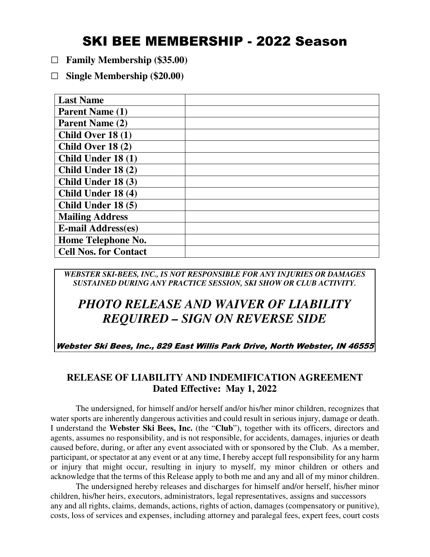## SKI BEE MEMBERSHIP - 2022 Season

- **□ Family Membership (\$35.00)**
- **□ Single Membership (\$20.00)**

| <b>Last Name</b>             |  |
|------------------------------|--|
| <b>Parent Name (1)</b>       |  |
| Parent Name (2)              |  |
| Child Over $18(1)$           |  |
| Child Over $18(2)$           |  |
| Child Under 18 (1)           |  |
| Child Under 18 (2)           |  |
| Child Under 18 (3)           |  |
| Child Under 18 (4)           |  |
| Child Under 18 (5)           |  |
| <b>Mailing Address</b>       |  |
| <b>E-mail Address(es)</b>    |  |
| Home Telephone No.           |  |
| <b>Cell Nos. for Contact</b> |  |

*WEBSTER SKI-BEES, INC., IS NOT RESPONSIBLE FOR ANY INJURIES OR DAMAGES SUSTAINED DURING ANY PRACTICE SESSION, SKI SHOW OR CLUB ACTIVITY.* 

## *PHOTO RELEASE AND WAIVER OF LIABILITY REQUIRED – SIGN ON REVERSE SIDE*

Webster Ski Bees, Inc., 829 East Willis Park Drive, North Webster, IN 46555

## **RELEASE OF LIABILITY AND INDEMIFICATION AGREEMENT Dated Effective: May 1, 2022**

The undersigned, for himself and/or herself and/or his/her minor children, recognizes that water sports are inherently dangerous activities and could result in serious injury, damage or death. I understand the **Webster Ski Bees, Inc.** (the "**Club**"), together with its officers, directors and agents, assumes no responsibility, and is not responsible, for accidents, damages, injuries or death caused before, during, or after any event associated with or sponsored by the Club. As a member, participant, or spectator at any event or at any time, I hereby accept full responsibility for any harm or injury that might occur, resulting in injury to myself, my minor children or others and acknowledge that the terms of this Release apply to both me and any and all of my minor children.

 The undersigned hereby releases and discharges for himself and/or herself, his/her minor children, his/her heirs, executors, administrators, legal representatives, assigns and successors any and all rights, claims, demands, actions, rights of action, damages (compensatory or punitive), costs, loss of services and expenses, including attorney and paralegal fees, expert fees, court costs